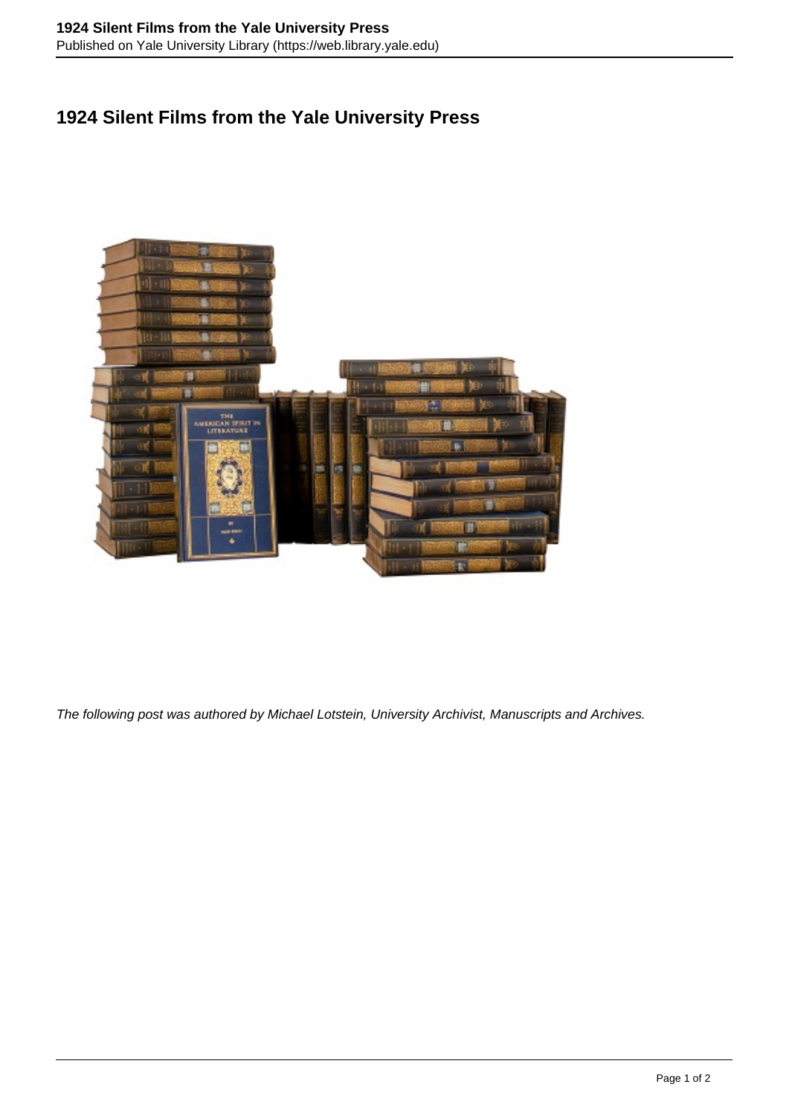## **1924 Silent Films from the Yale University Press**



The following post was authored by Michael Lotstein, University Archivist, Manuscripts and Archives.